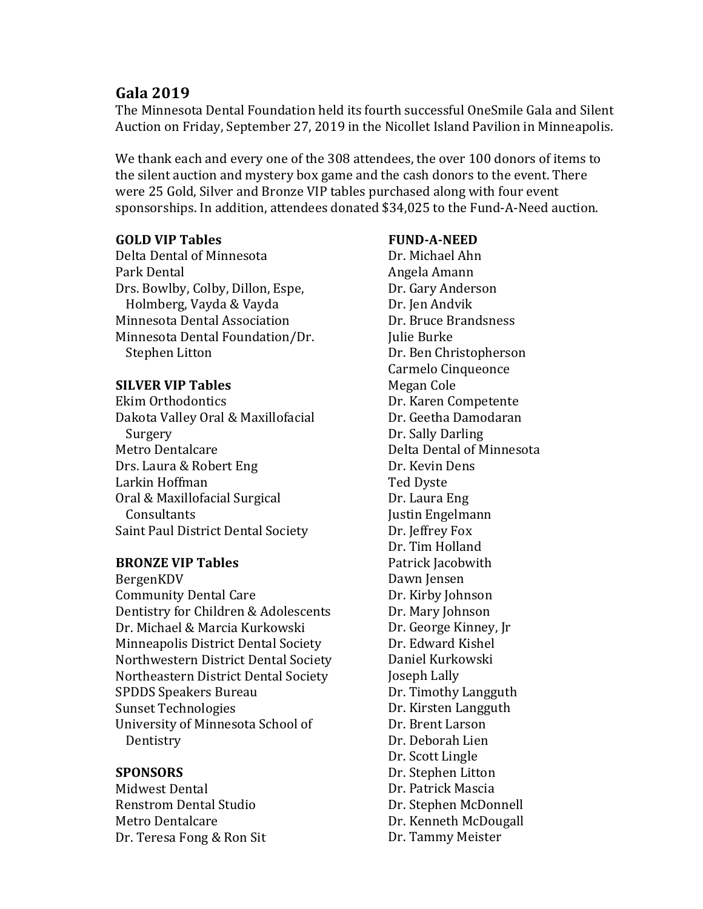# **Gala 2019**

The Minnesota Dental Foundation held its fourth successful OneSmile Gala and Silent Auction on Friday, September 27, 2019 in the Nicollet Island Pavilion in Minneapolis.

We thank each and every one of the 308 attendees, the over 100 donors of items to the silent auction and mystery box game and the cash donors to the event. There were 25 Gold, Silver and Bronze VIP tables purchased along with four event sponsorships. In addition, attendees donated \$34,025 to the Fund-A-Need auction.

## **GOLD VIP Tables**

Delta Dental of Minnesota Park Dental Drs. Bowlby, Colby, Dillon, Espe, Holmberg, Vayda & Vayda Minnesota Dental Association Minnesota Dental Foundation/Dr. Stephen Litton

### **SILVER VIP Tables**

Ekim Orthodontics Dakota Valley Oral & Maxillofacial Surgery Metro Dentalcare Drs. Laura & Robert Eng Larkin Hoffman Oral & Maxillofacial Surgical **Consultants** Saint Paul District Dental Society

### **BRONZE VIP Tables**

BergenKDV Community Dental Care Dentistry for Children & Adolescents Dr. Michael & Marcia Kurkowski Minneapolis District Dental Society Northwestern District Dental Society Northeastern District Dental Society SPDDS Speakers Bureau Sunset Technologies University of Minnesota School of Dentistry

### **SPONSORS**

Midwest Dental Renstrom Dental Studio Metro Dentalcare Dr. Teresa Fong & Ron Sit

### **FUND-A-NEED**

Dr. Michael Ahn Angela Amann Dr. Gary Anderson Dr. Ien Andvik Dr. Bruce Brandsness **Julie Burke** Dr. Ben Christopherson Carmelo Cinqueonce Megan Cole Dr. Karen Competente Dr. Geetha Damodaran Dr. Sally Darling Delta Dental of Minnesota Dr. Kevin Dens Ted Dyste Dr. Laura Eng Justin Engelmann Dr. Jeffrey Fox Dr. Tim Holland Patrick Jacobwith Dawn Jensen Dr. Kirby Johnson Dr. Mary Johnson Dr. George Kinney, Jr. Dr. Edward Kishel Daniel Kurkowski Joseph Lally Dr. Timothy Langguth Dr. Kirsten Langguth Dr. Brent Larson Dr. Deborah Lien Dr. Scott Lingle Dr. Stephen Litton Dr. Patrick Mascia Dr. Stephen McDonnell Dr. Kenneth McDougall Dr. Tammy Meister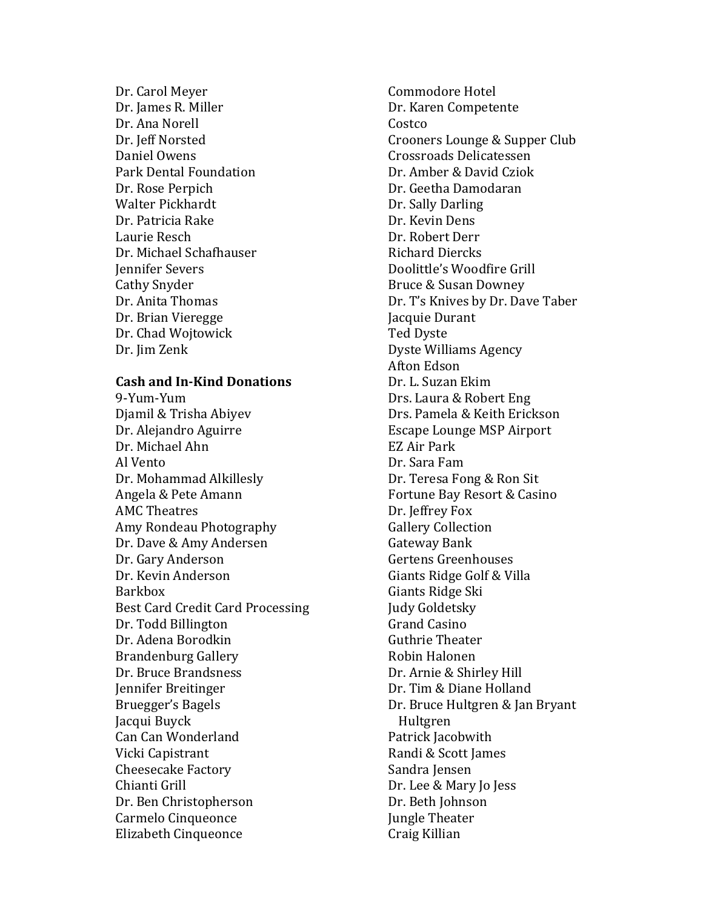Dr. Carol Meyer Dr. James R. Miller Dr. Ana Norell Dr. Jeff Norsted Daniel Owens Park Dental Foundation Dr. Rose Perpich Walter Pickhardt Dr. Patricia Rake Laurie Resch Dr. Michael Schafhauser **Jennifer Severs** Cathy Snyder Dr. Anita Thomas Dr. Brian Vieregge Dr. Chad Wojtowick Dr. Jim Zenk

#### **Cash and In-Kind Donations**

9-Yum-Yum Djamil & Trisha Abiyev Dr. Alejandro Aguirre Dr. Michael Ahn Al Vento Dr. Mohammad Alkillesly Angela & Pete Amann **AMC** Theatres Amy Rondeau Photography Dr. Dave & Amy Andersen Dr. Gary Anderson Dr. Kevin Anderson Barkbox Best Card Credit Card Processing Dr. Todd Billington Dr. Adena Borodkin Brandenburg Gallery Dr. Bruce Brandsness Jennifer Breitinger Bruegger's Bagels Jacqui Buyck Can Can Wonderland Vicki Capistrant Cheesecake Factory Chianti Grill Dr. Ben Christopherson Carmelo Cinqueonce Elizabeth Cinqueonce

Commodore Hotel Dr. Karen Competente Costco Crooners Lounge & Supper Club Crossroads Delicatessen Dr. Amber & David Cziok Dr. Geetha Damodaran Dr. Sally Darling Dr. Kevin Dens Dr. Robert Derr Richard Diercks Doolittle's Woodfire Grill Bruce & Susan Downey Dr. T's Knives by Dr. Dave Taber **Jacquie Durant** Ted Dyste Dyste Williams Agency Afton Edson Dr. L. Suzan Ekim Drs. Laura & Robert Eng Drs. Pamela & Keith Erickson Escape Lounge MSP Airport EZ Air Park Dr. Sara Fam Dr. Teresa Fong & Ron Sit Fortune Bay Resort & Casino Dr. Jeffrey Fox **Gallery Collection** Gateway Bank Gertens Greenhouses Giants Ridge Golf & Villa Giants Ridge Ski **Judy Goldetsky** Grand Casino Guthrie Theater Robin Halonen Dr. Arnie & Shirley Hill Dr. Tim & Diane Holland Dr. Bruce Hultgren & Jan Bryant Hultgren Patrick Jacobwith Randi & Scott James Sandra Jensen Dr. Lee & Mary Jo Jess Dr. Beth Johnson **Jungle Theater** Craig Killian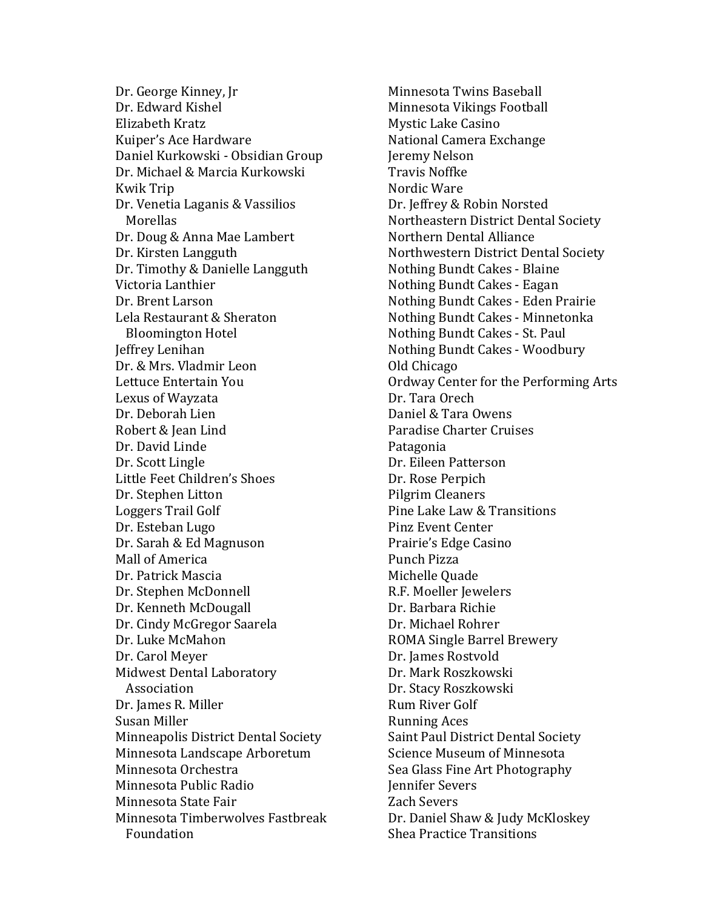Dr. George Kinney, Ir Dr. Edward Kishel Elizabeth Kratz Kuiper's Ace Hardware Daniel Kurkowski - Obsidian Group Dr. Michael & Marcia Kurkowski Kwik Trip Dr. Venetia Laganis & Vassilios **Morellas** Dr. Doug & Anna Mae Lambert Dr. Kirsten Langguth Dr. Timothy & Danielle Langguth Victoria Lanthier Dr. Brent Larson Lela Restaurant & Sheraton Bloomington Hotel Jeffrey Lenihan Dr. & Mrs. Vladmir Leon Lettuce Entertain You Lexus of Wayzata Dr. Deborah Lien Robert & Iean Lind Dr. David Linde Dr. Scott Lingle Little Feet Children's Shoes Dr. Stephen Litton Loggers Trail Golf Dr. Esteban Lugo Dr. Sarah & Ed Magnuson Mall of America Dr. Patrick Mascia Dr. Stephen McDonnell Dr. Kenneth McDougall Dr. Cindy McGregor Saarela Dr. Luke McMahon Dr. Carol Meyer Midwest Dental Laboratory Association Dr. James R. Miller Susan Miller Minneapolis District Dental Society Minnesota Landscape Arboretum Minnesota Orchestra Minnesota Public Radio Minnesota State Fair Minnesota Timberwolves Fastbreak Foundation

Minnesota Twins Baseball Minnesota Vikings Football Mystic Lake Casino National Camera Exchange Jeremy Nelson Travis Noffke Nordic Ware Dr. Jeffrey & Robin Norsted Northeastern District Dental Society Northern Dental Alliance Northwestern District Dental Society Nothing Bundt Cakes - Blaine Nothing Bundt Cakes - Eagan Nothing Bundt Cakes - Eden Prairie Nothing Bundt Cakes - Minnetonka Nothing Bundt Cakes - St. Paul Nothing Bundt Cakes - Woodbury Old Chicago Ordway Center for the Performing Arts Dr. Tara Orech Daniel & Tara Owens Paradise Charter Cruises Patagonia Dr. Eileen Patterson Dr. Rose Perpich Pilgrim Cleaners Pine Lake Law & Transitions Pinz Event Center Prairie's Edge Casino Punch Pizza Michelle Ouade R.F. Moeller Jewelers Dr. Barbara Richie Dr. Michael Rohrer ROMA Single Barrel Brewery Dr. James Rostvold Dr. Mark Roszkowski Dr. Stacy Roszkowski Rum River Golf Running Aces Saint Paul District Dental Society Science Museum of Minnesota Sea Glass Fine Art Photography Jennifer Severs Zach Severs Dr. Daniel Shaw & Judy McKloskey Shea Practice Transitions